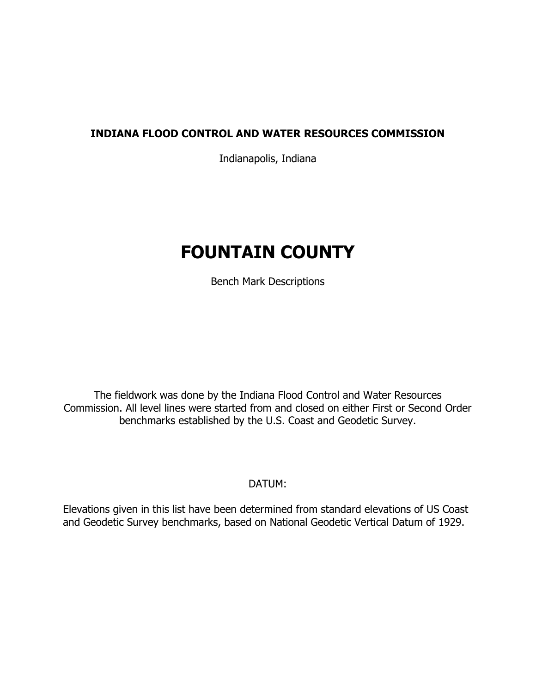# **INDIANA FLOOD CONTROL AND WATER RESOURCES COMMISSION**

Indianapolis, Indiana

# **FOUNTAIN COUNTY**

Bench Mark Descriptions

The fieldwork was done by the Indiana Flood Control and Water Resources Commission. All level lines were started from and closed on either First or Second Order benchmarks established by the U.S. Coast and Geodetic Survey.

DATUM:

Elevations given in this list have been determined from standard elevations of US Coast and Geodetic Survey benchmarks, based on National Geodetic Vertical Datum of 1929.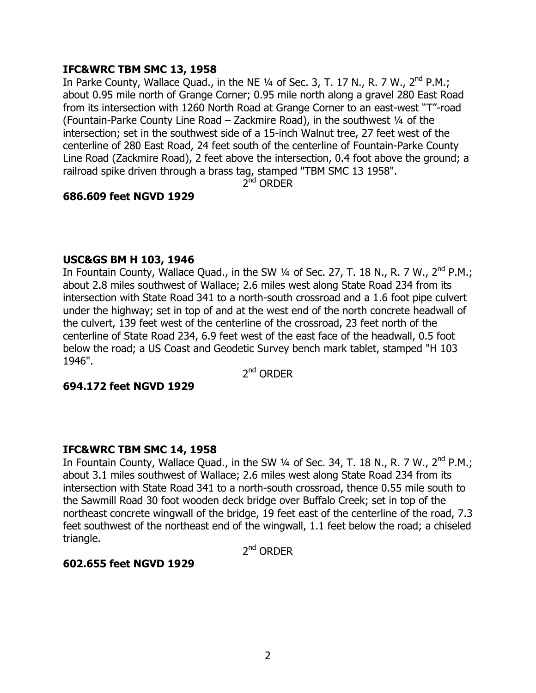# **IFC&WRC TBM SMC 13, 1958**

In Parke County, Wallace Quad., in the NE  $\frac{1}{4}$  of Sec. 3, T. 17 N., R. 7 W., 2<sup>nd</sup> P.M.; about 0.95 mile north of Grange Corner; 0.95 mile north along a gravel 280 East Road from its intersection with 1260 North Road at Grange Corner to an east-west "T"-road (Fountain-Parke County Line Road  $-$  Zackmire Road), in the southwest  $\frac{1}{4}$  of the intersection; set in the southwest side of a 15-inch Walnut tree, 27 feet west of the centerline of 280 East Road, 24 feet south of the centerline of Fountain-Parke County Line Road (Zackmire Road), 2 feet above the intersection, 0.4 foot above the ground; a railroad spike driven through a brass tag, stamped "TBM SMC 13 1958".

2<sup>nd</sup> ORDER

# **686.609 feet NGVD 1929**

# **USC&GS BM H 103, 1946**

In Fountain County, Wallace Quad., in the SW  $\frac{1}{4}$  of Sec. 27, T. 18 N., R. 7 W., 2<sup>nd</sup> P.M.; about 2.8 miles southwest of Wallace; 2.6 miles west along State Road 234 from its intersection with State Road 341 to a north-south crossroad and a 1.6 foot pipe culvert under the highway; set in top of and at the west end of the north concrete headwall of the culvert, 139 feet west of the centerline of the crossroad, 23 feet north of the centerline of State Road 234, 6.9 feet west of the east face of the headwall, 0.5 foot below the road; a US Coast and Geodetic Survey bench mark tablet, stamped "H 103 1946".

 $2^{nd}$  ORDFR

# **694.172 feet NGVD 1929**

# **IFC&WRC TBM SMC 14, 1958**

In Fountain County, Wallace Quad., in the SW  $\frac{1}{4}$  of Sec. 34, T. 18 N., R. 7 W.,  $2^{nd}$  P.M.; about 3.1 miles southwest of Wallace; 2.6 miles west along State Road 234 from its intersection with State Road 341 to a north-south crossroad, thence 0.55 mile south to the Sawmill Road 30 foot wooden deck bridge over Buffalo Creek; set in top of the northeast concrete wingwall of the bridge, 19 feet east of the centerline of the road, 7.3 feet southwest of the northeast end of the wingwall, 1.1 feet below the road; a chiseled triangle.

2<sup>nd</sup> ORDER

# **602.655 feet NGVD 1929**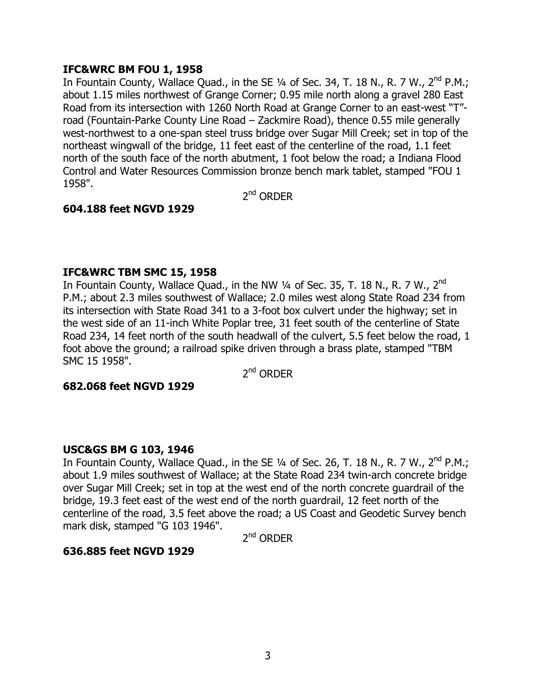# **IFC&WRC BM FOU 1, 1958**

In Fountain County, Wallace Quad., in the SE  $\frac{1}{4}$  of Sec. 34, T. 18 N., R. 7 W., 2<sup>nd</sup> P.M.; about 1.15 miles northwest of Grange Corner; 0.95 mile north along a gravel 280 East Road from its intersection with 1260 North Road at Grange Corner to an east-west "T"road (Fountain-Parke County Line Road  $-$  Zackmire Road), thence 0.55 mile generally west-northwest to a one-span steel truss bridge over Sugar Mill Creek; set in top of the northeast wingwall of the bridge, 11 feet east of the centerline of the road, 1.1 feet north of the south face of the north abutment, 1 foot below the road; a Indiana Flood Control and Water Resources Commission bronze bench mark tablet, stamped "FOU 1 1958".

2<sup>nd</sup> ORDER

# **604.188 feet NGVD 1929**

# **IFC&WRC TBM SMC 15, 1958**

In Fountain County, Wallace Quad., in the NW  $\frac{1}{4}$  of Sec. 35, T. 18 N., R. 7 W., 2<sup>nd</sup> P.M.; about 2.3 miles southwest of Wallace; 2.0 miles west along State Road 234 from its intersection with State Road 341 to a 3-foot box culvert under the highway; set in the west side of an 11-inch White Poplar tree, 31 feet south of the centerline of State Road 234, 14 feet north of the south headwall of the culvert, 5.5 feet below the road, 1 foot above the ground; a railroad spike driven through a brass plate, stamped "TBM SMC 15 1958".

 $2^{nd}$  ORDFR

# **682.068 feet NGVD 1929**

# **USC&GS BM G 103, 1946**

In Fountain County, Wallace Quad., in the SE  $\frac{1}{4}$  of Sec. 26, T. 18 N., R. 7 W., 2<sup>nd</sup> P.M.; about 1.9 miles southwest of Wallace; at the State Road 234 twin-arch concrete bridge over Sugar Mill Creek; set in top at the west end of the north concrete guardrail of the bridge, 19.3 feet east of the west end of the north guardrail, 12 feet north of the centerline of the road, 3.5 feet above the road; a US Coast and Geodetic Survey bench mark disk, stamped "G 103 1946".

 $2^{nd}$  ORDFR

# **636.885 feet NGVD 1929**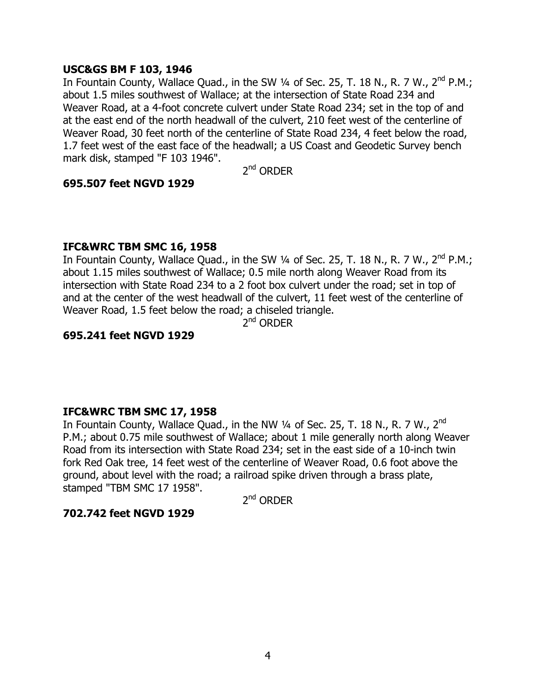# **USC&GS BM F 103, 1946**

In Fountain County, Wallace Quad., in the SW 1/4 of Sec. 25, T. 18 N., R. 7 W., 2<sup>nd</sup> P.M.; about 1.5 miles southwest of Wallace; at the intersection of State Road 234 and Weaver Road, at a 4-foot concrete culvert under State Road 234; set in the top of and at the east end of the north headwall of the culvert, 210 feet west of the centerline of Weaver Road, 30 feet north of the centerline of State Road 234, 4 feet below the road, 1.7 feet west of the east face of the headwall; a US Coast and Geodetic Survey bench mark disk, stamped "F 103 1946".

2nd ORDER

# **695.507 feet NGVD 1929**

# **IFC&WRC TBM SMC 16, 1958**

In Fountain County, Wallace Quad., in the SW  $\frac{1}{4}$  of Sec. 25, T. 18 N., R. 7 W., 2<sup>nd</sup> P.M.; about 1.15 miles southwest of Wallace; 0.5 mile north along Weaver Road from its intersection with State Road 234 to a 2 foot box culvert under the road; set in top of and at the center of the west headwall of the culvert, 11 feet west of the centerline of Weaver Road, 1.5 feet below the road; a chiseled triangle.

 $2^{nd}$  ORDER

# **695.241 feet NGVD 1929**

# **IFC&WRC TBM SMC 17, 1958**

In Fountain County, Wallace Quad., in the NW  $\frac{1}{4}$  of Sec. 25, T. 18 N., R. 7 W., 2<sup>nd</sup> P.M.; about 0.75 mile southwest of Wallace; about 1 mile generally north along Weaver Road from its intersection with State Road 234; set in the east side of a 10-inch twin fork Red Oak tree, 14 feet west of the centerline of Weaver Road, 0.6 foot above the ground, about level with the road; a railroad spike driven through a brass plate, stamped "TBM SMC 17 1958".

 $2^{nd}$  ORDFR

# **702.742 feet NGVD 1929**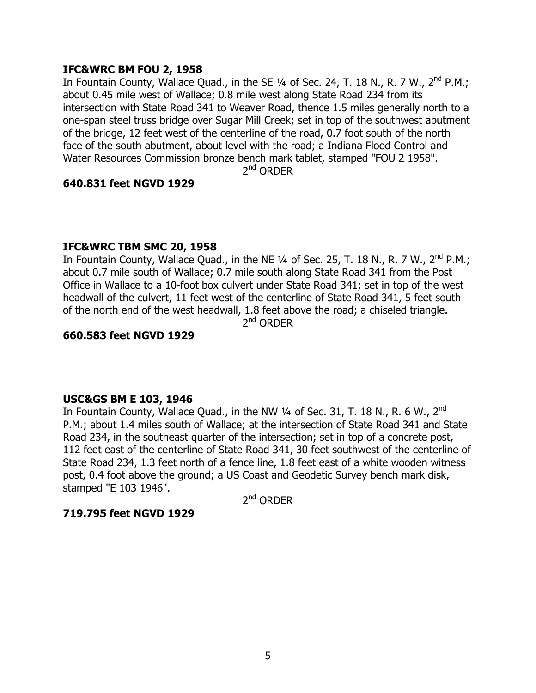# **IFC&WRC BM FOU 2, 1958**

In Fountain County, Wallace Quad., in the SE  $\frac{1}{4}$  of Sec. 24, T. 18 N., R. 7 W., 2<sup>nd</sup> P.M.; about 0.45 mile west of Wallace; 0.8 mile west along State Road 234 from its intersection with State Road 341 to Weaver Road, thence 1.5 miles generally north to a one-span steel truss bridge over Sugar Mill Creek; set in top of the southwest abutment of the bridge, 12 feet west of the centerline of the road, 0.7 foot south of the north face of the south abutment, about level with the road; a Indiana Flood Control and Water Resources Commission bronze bench mark tablet, stamped "FOU 2 1958".

 $2^{nd}$  ORDFR

# **640.831 feet NGVD 1929**

# **IFC&WRC TBM SMC 20, 1958**

In Fountain County, Wallace Quad., in the NE  $\frac{1}{4}$  of Sec. 25, T. 18 N., R. 7 W., 2<sup>nd</sup> P.M.; about 0.7 mile south of Wallace; 0.7 mile south along State Road 341 from the Post Office in Wallace to a 10-foot box culvert under State Road 341; set in top of the west headwall of the culvert, 11 feet west of the centerline of State Road 341, 5 feet south of the north end of the west headwall, 1.8 feet above the road; a chiseled triangle.

 $2^{nd}$  ORDER

# **660.583 feet NGVD 1929**

# **USC&GS BM E 103, 1946**

In Fountain County, Wallace Quad., in the NW  $\frac{1}{4}$  of Sec. 31, T. 18 N., R. 6 W., 2<sup>nd</sup> P.M.; about 1.4 miles south of Wallace; at the intersection of State Road 341 and State Road 234, in the southeast quarter of the intersection; set in top of a concrete post, 112 feet east of the centerline of State Road 341, 30 feet southwest of the centerline of State Road 234, 1.3 feet north of a fence line, 1.8 feet east of a white wooden witness post, 0.4 foot above the ground; a US Coast and Geodetic Survey bench mark disk, stamped "E 103 1946".

2<sup>nd</sup> ORDER

# **719.795 feet NGVD 1929**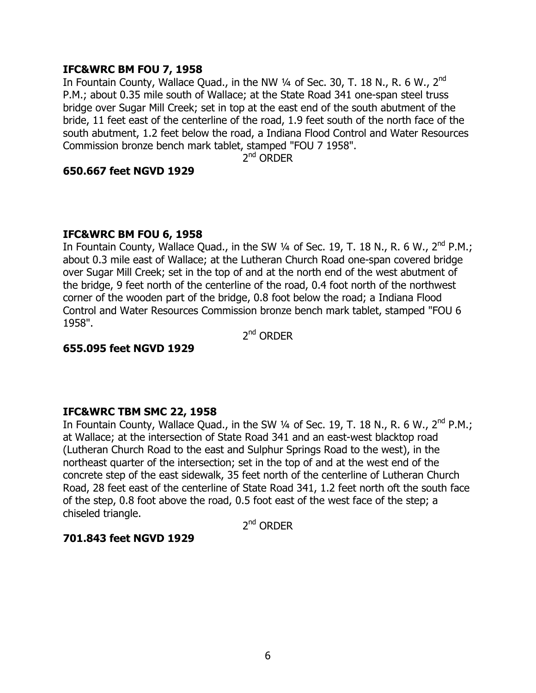# **IFC&WRC BM FOU 7, 1958**

In Fountain County, Wallace Quad., in the NW  $\frac{1}{4}$  of Sec. 30, T. 18 N., R. 6 W., 2<sup>nd</sup> P.M.; about 0.35 mile south of Wallace; at the State Road 341 one-span steel truss bridge over Sugar Mill Creek; set in top at the east end of the south abutment of the bride, 11 feet east of the centerline of the road, 1.9 feet south of the north face of the south abutment, 1.2 feet below the road, a Indiana Flood Control and Water Resources Commission bronze bench mark tablet, stamped "FOU 7 1958".

2<sup>nd</sup> ORDER

# **650.667 feet NGVD 1929**

# **IFC&WRC BM FOU 6, 1958**

In Fountain County, Wallace Quad., in the SW 1/4 of Sec. 19, T. 18 N., R. 6 W., 2<sup>nd</sup> P.M.; about 0.3 mile east of Wallace; at the Lutheran Church Road one-span covered bridge over Sugar Mill Creek; set in the top of and at the north end of the west abutment of the bridge, 9 feet north of the centerline of the road, 0.4 foot north of the northwest corner of the wooden part of the bridge, 0.8 foot below the road; a Indiana Flood Control and Water Resources Commission bronze bench mark tablet, stamped "FOU 6 1958".

2nd ORDER

# **655.095 feet NGVD 1929**

# **IFC&WRC TBM SMC 22, 1958**

In Fountain County, Wallace Quad., in the SW  $\frac{1}{4}$  of Sec. 19, T. 18 N., R. 6 W., 2<sup>nd</sup> P.M.; at Wallace; at the intersection of State Road 341 and an east-west blacktop road (Lutheran Church Road to the east and Sulphur Springs Road to the west), in the northeast quarter of the intersection; set in the top of and at the west end of the concrete step of the east sidewalk, 35 feet north of the centerline of Lutheran Church Road, 28 feet east of the centerline of State Road 341, 1.2 feet north oft the south face of the step, 0.8 foot above the road, 0.5 foot east of the west face of the step; a chiseled triangle.

2<sup>nd</sup> ORDER

# **701.843 feet NGVD 1929**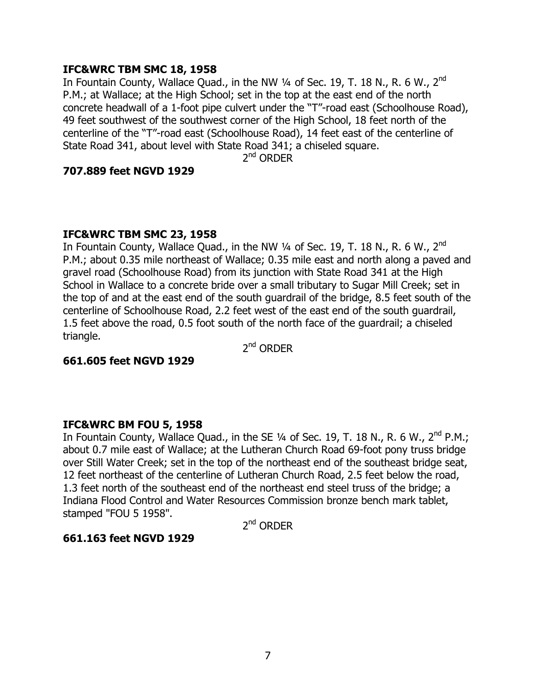# **IFC&WRC TBM SMC 18, 1958**

In Fountain County, Wallace Quad., in the NW  $\frac{1}{4}$  of Sec. 19, T. 18 N., R. 6 W., 2<sup>nd</sup> P.M.; at Wallace; at the High School; set in the top at the east end of the north concrete headwall of a 1-foot pipe culvert under the "T"-road east (Schoolhouse Road), 49 feet southwest of the southwest corner of the High School, 18 feet north of the centerline of the "T"-road east (Schoolhouse Road), 14 feet east of the centerline of State Road 341, about level with State Road 341; a chiseled square.

2<sup>nd</sup> ORDER

#### **707.889 feet NGVD 1929**

#### **IFC&WRC TBM SMC 23, 1958**

In Fountain County, Wallace Quad., in the NW  $\frac{1}{4}$  of Sec. 19, T. 18 N., R. 6 W., 2<sup>nd</sup> P.M.; about 0.35 mile northeast of Wallace; 0.35 mile east and north along a paved and gravel road (Schoolhouse Road) from its junction with State Road 341 at the High School in Wallace to a concrete bride over a small tributary to Sugar Mill Creek; set in the top of and at the east end of the south guardrail of the bridge, 8.5 feet south of the centerline of Schoolhouse Road, 2.2 feet west of the east end of the south guardrail, 1.5 feet above the road, 0.5 foot south of the north face of the guardrail; a chiseled triangle.

2<sup>nd</sup> ORDER

# **661.605 feet NGVD 1929**

#### **IFC&WRC BM FOU 5, 1958**

In Fountain County, Wallace Quad., in the SE  $1/4$  of Sec. 19, T. 18 N., R. 6 W., 2<sup>nd</sup> P.M.; about 0.7 mile east of Wallace; at the Lutheran Church Road 69-foot pony truss bridge over Still Water Creek; set in the top of the northeast end of the southeast bridge seat, 12 feet northeast of the centerline of Lutheran Church Road, 2.5 feet below the road, 1.3 feet north of the southeast end of the northeast end steel truss of the bridge; a Indiana Flood Control and Water Resources Commission bronze bench mark tablet, stamped "FOU 5 1958".

 $2^{nd}$  ORDER

# **661.163 feet NGVD 1929**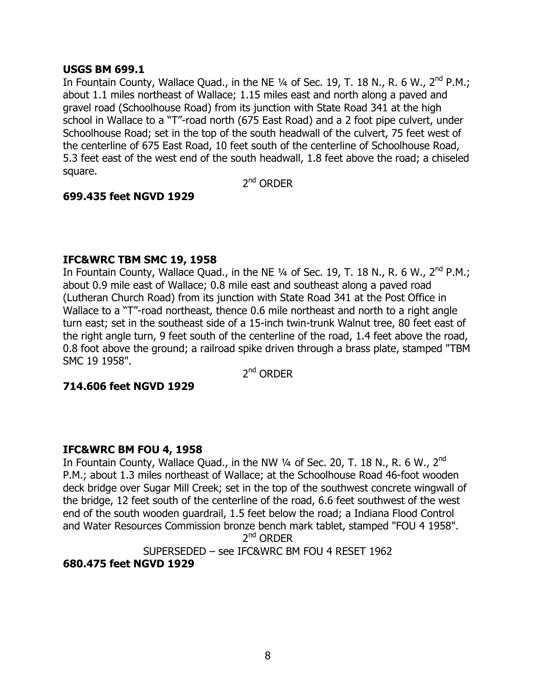# **USGS BM 699.1**

In Fountain County, Wallace Quad., in the NE  $\frac{1}{4}$  of Sec. 19, T. 18 N., R. 6 W., 2<sup>nd</sup> P.M.; about 1.1 miles northeast of Wallace; 1.15 miles east and north along a paved and gravel road (Schoolhouse Road) from its junction with State Road 341 at the high school in Wallace to a "T"-road north (675 East Road) and a 2 foot pipe culvert, under Schoolhouse Road; set in the top of the south headwall of the culvert, 75 feet west of the centerline of 675 East Road, 10 feet south of the centerline of Schoolhouse Road, 5.3 feet east of the west end of the south headwall, 1.8 feet above the road; a chiseled square.

2<sup>nd</sup> ORDER

# **699.435 feet NGVD 1929**

# **IFC&WRC TBM SMC 19, 1958**

In Fountain County, Wallace Quad., in the NE 1/4 of Sec. 19, T. 18 N., R. 6 W., 2<sup>nd</sup> P.M.; about 0.9 mile east of Wallace; 0.8 mile east and southeast along a paved road (Lutheran Church Road) from its junction with State Road 341 at the Post Office in Wallace to a "T"-road northeast, thence 0.6 mile northeast and north to a right angle turn east; set in the southeast side of a 15-inch twin-trunk Walnut tree, 80 feet east of the right angle turn, 9 feet south of the centerline of the road, 1.4 feet above the road, 0.8 foot above the ground; a railroad spike driven through a brass plate, stamped "TBM SMC 19 1958".

 $2^{nd}$  ORDFR

# **714.606 feet NGVD 1929**

# **IFC&WRC BM FOU 4, 1958**

In Fountain County, Wallace Quad., in the NW  $\frac{1}{4}$  of Sec. 20, T. 18 N., R. 6 W., 2<sup>nd</sup> P.M.; about 1.3 miles northeast of Wallace; at the Schoolhouse Road 46-foot wooden deck bridge over Sugar Mill Creek; set in the top of the southwest concrete wingwall of the bridge, 12 feet south of the centerline of the road, 6.6 feet southwest of the west end of the south wooden guardrail, 1.5 feet below the road; a Indiana Flood Control and Water Resources Commission bronze bench mark tablet, stamped "FOU 4 1958".  $2^{nd}$  ORDFR

SUPERSEDED - see IFC&WRC BM FOU 4 RESET 1962

# **680.475 feet NGVD 1929**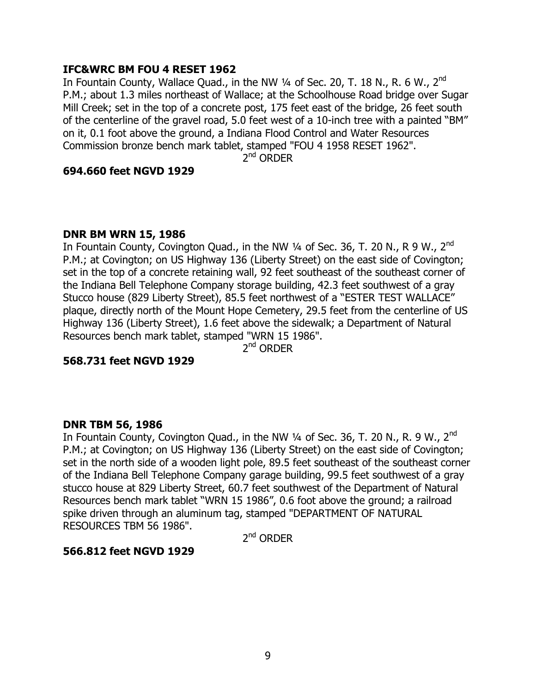# **IFC&WRC BM FOU 4 RESET 1962**

In Fountain County, Wallace Quad., in the NW 1/4 of Sec. 20, T. 18 N., R. 6 W., 2<sup>nd</sup> P.M.; about 1.3 miles northeast of Wallace; at the Schoolhouse Road bridge over Sugar Mill Creek; set in the top of a concrete post, 175 feet east of the bridge, 26 feet south of the centerline of the gravel road, 5.0 feet west of a 10-inch tree with a painted "BM" on it, 0.1 foot above the ground, a Indiana Flood Control and Water Resources Commission bronze bench mark tablet, stamped "FOU 4 1958 RESET 1962".

 $2^{nd}$  ORDER

# **694.660 feet NGVD 1929**

# **DNR BM WRN 15, 1986**

In Fountain County, Covington Quad., in the NW  $1/4$  of Sec. 36, T. 20 N., R 9 W., 2<sup>nd</sup> P.M.; at Covington; on US Highway 136 (Liberty Street) on the east side of Covington; set in the top of a concrete retaining wall, 92 feet southeast of the southeast corner of the Indiana Bell Telephone Company storage building, 42.3 feet southwest of a gray Stucco house (829 Liberty Street), 85.5 feet northwest of a "ESTER TEST WALLACE" plaque, directly north of the Mount Hope Cemetery, 29.5 feet from the centerline of US Highway 136 (Liberty Street), 1.6 feet above the sidewalk; a Department of Natural Resources bench mark tablet, stamped "WRN 15 1986".

2nd ORDER

# **568.731 feet NGVD 1929**

# **DNR TBM 56, 1986**

In Fountain County, Covington Quad., in the NW  $\frac{1}{4}$  of Sec. 36, T. 20 N., R. 9 W., 2<sup>nd</sup> P.M.; at Covington; on US Highway 136 (Liberty Street) on the east side of Covington; set in the north side of a wooden light pole, 89.5 feet southeast of the southeast corner of the Indiana Bell Telephone Company garage building, 99.5 feet southwest of a gray stucco house at 829 Liberty Street, 60.7 feet southwest of the Department of Natural Resources bench mark tablet "WRN 15 1986", 0.6 foot above the ground; a railroad spike driven through an aluminum tag, stamped "DEPARTMENT OF NATURAL RESOURCES TBM 56 1986".

 $2^{nd}$  ORDFR

# **566.812 feet NGVD 1929**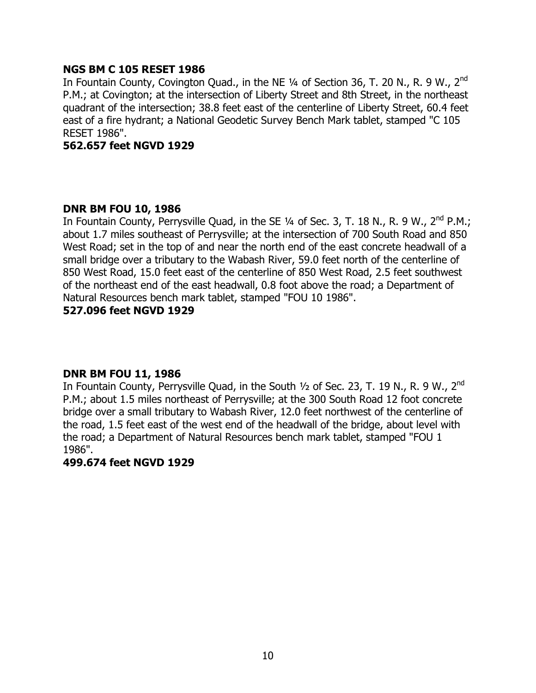## **NGS BM C 105 RESET 1986**

In Fountain County, Covington Quad., in the NE 1/4 of Section 36, T. 20 N., R. 9 W., 2<sup>nd</sup> P.M.; at Covington; at the intersection of Liberty Street and 8th Street, in the northeast quadrant of the intersection; 38.8 feet east of the centerline of Liberty Street, 60.4 feet east of a fire hydrant; a National Geodetic Survey Bench Mark tablet, stamped "C 105 RESET 1986".

#### **562.657 feet NGVD 1929**

#### **DNR BM FOU 10, 1986**

In Fountain County, Perrysville Quad, in the SE  $\frac{1}{4}$  of Sec. 3, T. 18 N., R. 9 W., 2<sup>nd</sup> P.M.; about 1.7 miles southeast of Perrysville; at the intersection of 700 South Road and 850 West Road; set in the top of and near the north end of the east concrete headwall of a small bridge over a tributary to the Wabash River, 59.0 feet north of the centerline of 850 West Road, 15.0 feet east of the centerline of 850 West Road, 2.5 feet southwest of the northeast end of the east headwall, 0.8 foot above the road; a Department of Natural Resources bench mark tablet, stamped "FOU 10 1986".

## **527.096 feet NGVD 1929**

# **DNR BM FOU 11, 1986**

In Fountain County, Perrysville Quad, in the South  $\frac{1}{2}$  of Sec. 23, T. 19 N., R. 9 W., 2<sup>nd</sup> P.M.; about 1.5 miles northeast of Perrysville; at the 300 South Road 12 foot concrete bridge over a small tributary to Wabash River, 12.0 feet northwest of the centerline of the road, 1.5 feet east of the west end of the headwall of the bridge, about level with the road; a Department of Natural Resources bench mark tablet, stamped "FOU 1 1986".

#### **499.674 feet NGVD 1929**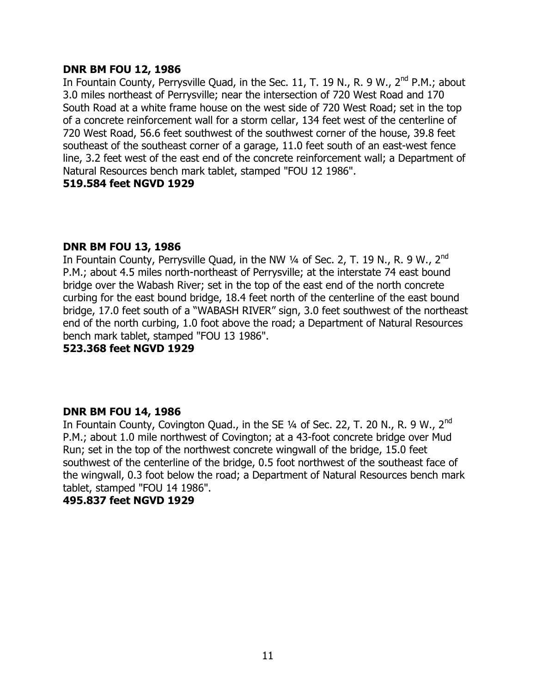## **DNR BM FOU 12, 1986**

In Fountain County, Perrysville Quad, in the Sec. 11, T. 19 N., R. 9 W., 2<sup>nd</sup> P.M.; about 3.0 miles northeast of Perrysville; near the intersection of 720 West Road and 170 South Road at a white frame house on the west side of 720 West Road; set in the top of a concrete reinforcement wall for a storm cellar, 134 feet west of the centerline of 720 West Road, 56.6 feet southwest of the southwest corner of the house, 39.8 feet southeast of the southeast corner of a garage, 11.0 feet south of an east-west fence line, 3.2 feet west of the east end of the concrete reinforcement wall; a Department of Natural Resources bench mark tablet, stamped "FOU 12 1986".

# **519.584 feet NGVD 1929**

# **DNR BM FOU 13, 1986**

In Fountain County, Perrysville Quad, in the NW  $\frac{1}{4}$  of Sec. 2, T. 19 N., R. 9 W., 2<sup>nd</sup> P.M.; about 4.5 miles north-northeast of Perrysville; at the interstate 74 east bound bridge over the Wabash River; set in the top of the east end of the north concrete curbing for the east bound bridge, 18.4 feet north of the centerline of the east bound bridge, 17.0 feet south of a "WABASH RIVER" sign, 3.0 feet southwest of the northeast end of the north curbing, 1.0 foot above the road; a Department of Natural Resources bench mark tablet, stamped "FOU 13 1986".

## **523.368 feet NGVD 1929**

# **DNR BM FOU 14, 1986**

In Fountain County, Covington Quad., in the SE 1/4 of Sec. 22, T. 20 N., R. 9 W., 2<sup>nd</sup> P.M.; about 1.0 mile northwest of Covington; at a 43-foot concrete bridge over Mud Run; set in the top of the northwest concrete wingwall of the bridge, 15.0 feet southwest of the centerline of the bridge, 0.5 foot northwest of the southeast face of the wingwall, 0.3 foot below the road; a Department of Natural Resources bench mark tablet, stamped "FOU 14 1986".

# **495.837 feet NGVD 1929**